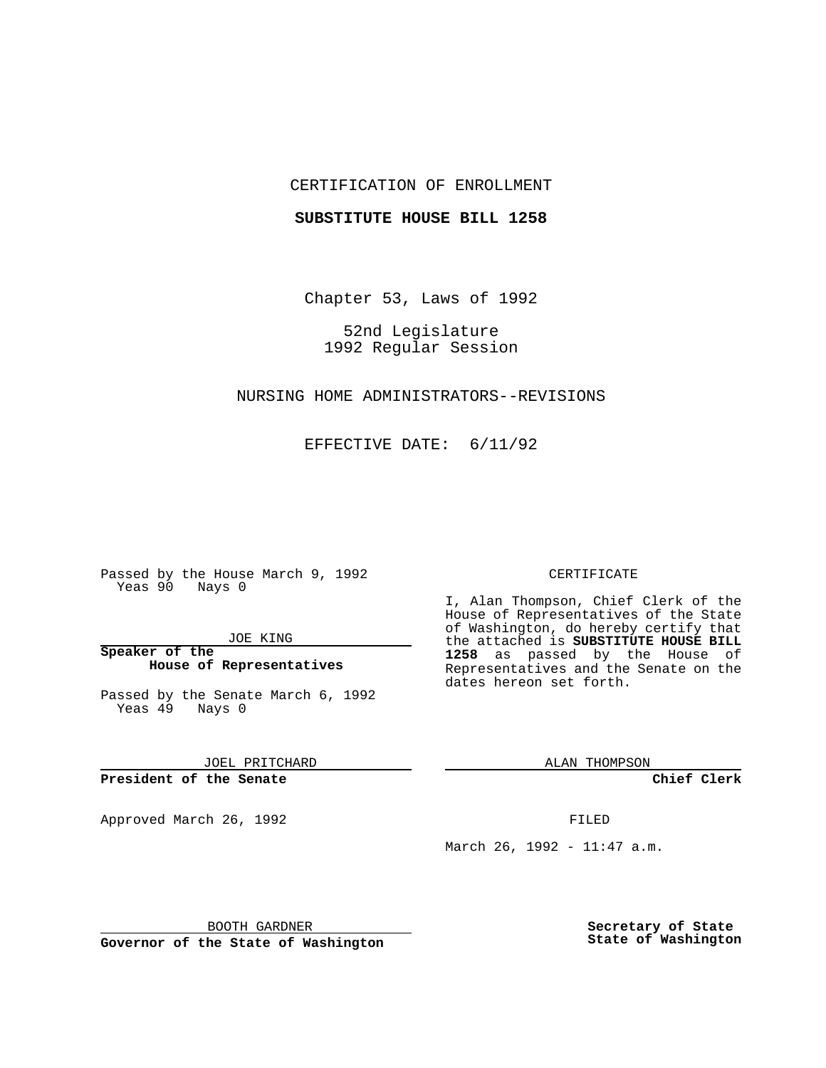# CERTIFICATION OF ENROLLMENT

## **SUBSTITUTE HOUSE BILL 1258**

Chapter 53, Laws of 1992

52nd Legislature 1992 Regular Session

# NURSING HOME ADMINISTRATORS--REVISIONS

EFFECTIVE DATE: 6/11/92

Passed by the House March 9, 1992 Yeas 90 Nays 0

JOE KING

**Speaker of the House of Representatives**

Passed by the Senate March 6, 1992 Yeas 49 Nays 0

JOEL PRITCHARD

**President of the Senate**

Approved March 26, 1992 **FILED** 

#### CERTIFICATE

I, Alan Thompson, Chief Clerk of the House of Representatives of the State of Washington, do hereby certify that the attached is **SUBSTITUTE HOUSE BILL 1258** as passed by the House of Representatives and the Senate on the dates hereon set forth.

ALAN THOMPSON

**Chief Clerk**

March 26, 1992 - 11:47 a.m.

BOOTH GARDNER

**Governor of the State of Washington**

**Secretary of State State of Washington**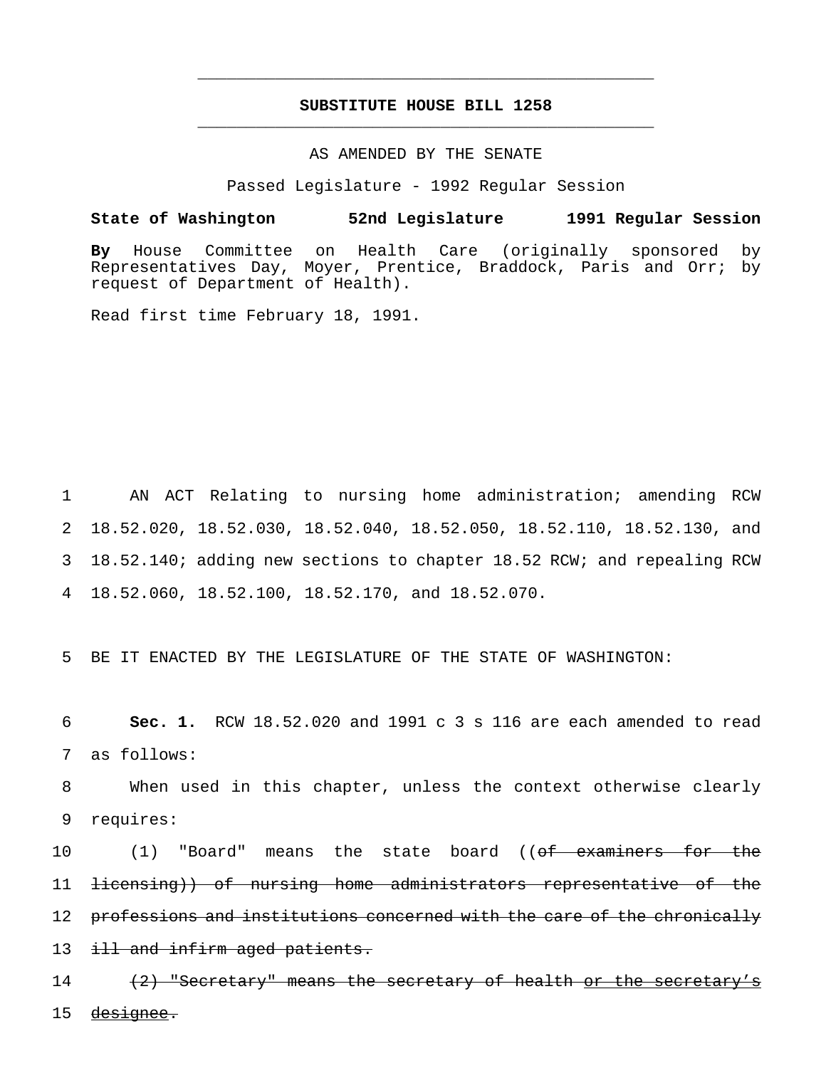# **SUBSTITUTE HOUSE BILL 1258** \_\_\_\_\_\_\_\_\_\_\_\_\_\_\_\_\_\_\_\_\_\_\_\_\_\_\_\_\_\_\_\_\_\_\_\_\_\_\_\_\_\_\_\_\_\_\_

\_\_\_\_\_\_\_\_\_\_\_\_\_\_\_\_\_\_\_\_\_\_\_\_\_\_\_\_\_\_\_\_\_\_\_\_\_\_\_\_\_\_\_\_\_\_\_

## AS AMENDED BY THE SENATE

Passed Legislature - 1992 Regular Session

# **State of Washington 52nd Legislature 1991 Regular Session**

**By** House Committee on Health Care (originally sponsored by Representatives Day, Moyer, Prentice, Braddock, Paris and Orr; by request of Department of Health).

Read first time February 18, 1991.

 AN ACT Relating to nursing home administration; amending RCW 18.52.020, 18.52.030, 18.52.040, 18.52.050, 18.52.110, 18.52.130, and 18.52.140; adding new sections to chapter 18.52 RCW; and repealing RCW 18.52.060, 18.52.100, 18.52.170, and 18.52.070.

5 BE IT ENACTED BY THE LEGISLATURE OF THE STATE OF WASHINGTON:

6 **Sec. 1.** RCW 18.52.020 and 1991 c 3 s 116 are each amended to read 7 as follows:

8 When used in this chapter, unless the context otherwise clearly 9 requires:

10 (1) "Board" means the state board ((<del>of examiners for the</del> 11 licensing)) of nursing home administrators representative of the 12 professions and institutions concerned with the care of the chronically 13 ill and infirm aged patients. 14 (2) "Secretary" means the secretary of health or the secretary's

15 <del>designee.</del>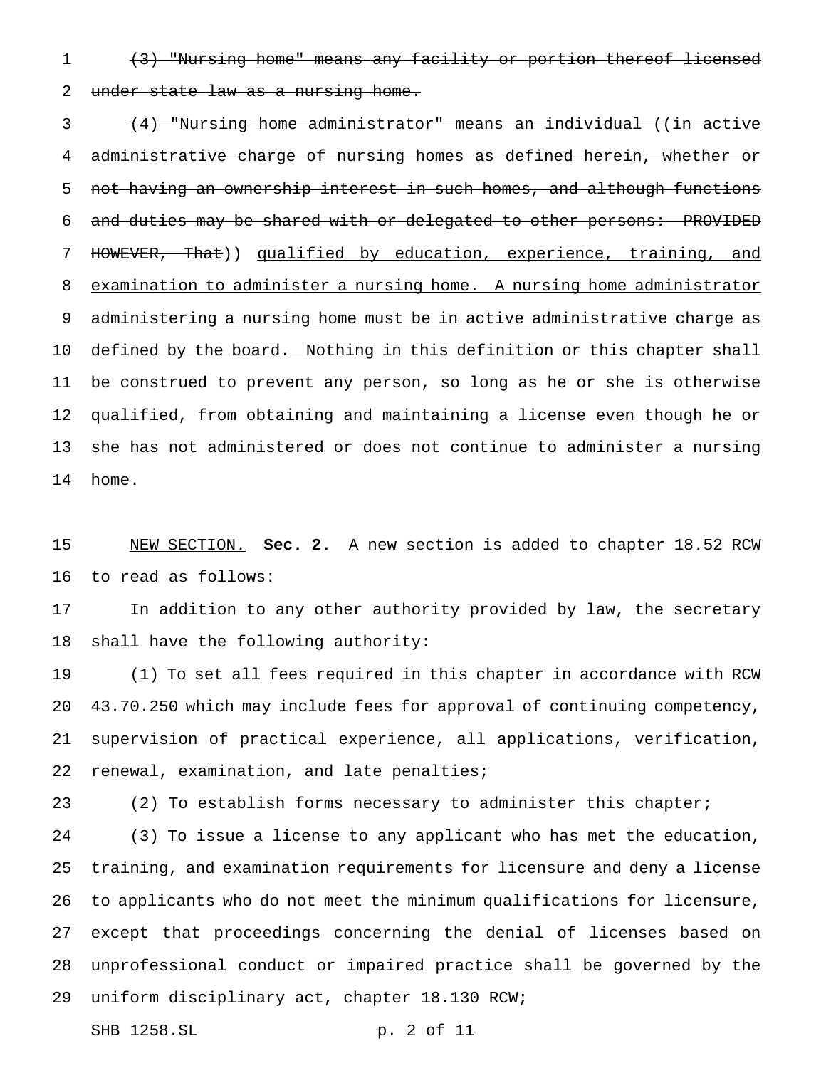(3) "Nursing home" means any facility or portion thereof licensed under state law as a nursing home.

 (4) "Nursing home administrator" means an individual ((in active administrative charge of nursing homes as defined herein, whether or 5 not having an ownership interest in such homes, and although functions and duties may be shared with or delegated to other persons: PROVIDED HOWEVER, That)) qualified by education, experience, training, and examination to administer a nursing home. A nursing home administrator 9 administering a nursing home must be in active administrative charge as 10 defined by the board. Nothing in this definition or this chapter shall be construed to prevent any person, so long as he or she is otherwise qualified, from obtaining and maintaining a license even though he or she has not administered or does not continue to administer a nursing home.

 NEW SECTION. **Sec. 2.** A new section is added to chapter 18.52 RCW to read as follows:

 In addition to any other authority provided by law, the secretary shall have the following authority:

 (1) To set all fees required in this chapter in accordance with RCW 43.70.250 which may include fees for approval of continuing competency, supervision of practical experience, all applications, verification, renewal, examination, and late penalties;

(2) To establish forms necessary to administer this chapter;

 (3) To issue a license to any applicant who has met the education, training, and examination requirements for licensure and deny a license to applicants who do not meet the minimum qualifications for licensure, except that proceedings concerning the denial of licenses based on unprofessional conduct or impaired practice shall be governed by the uniform disciplinary act, chapter 18.130 RCW;

SHB 1258.SL p. 2 of 11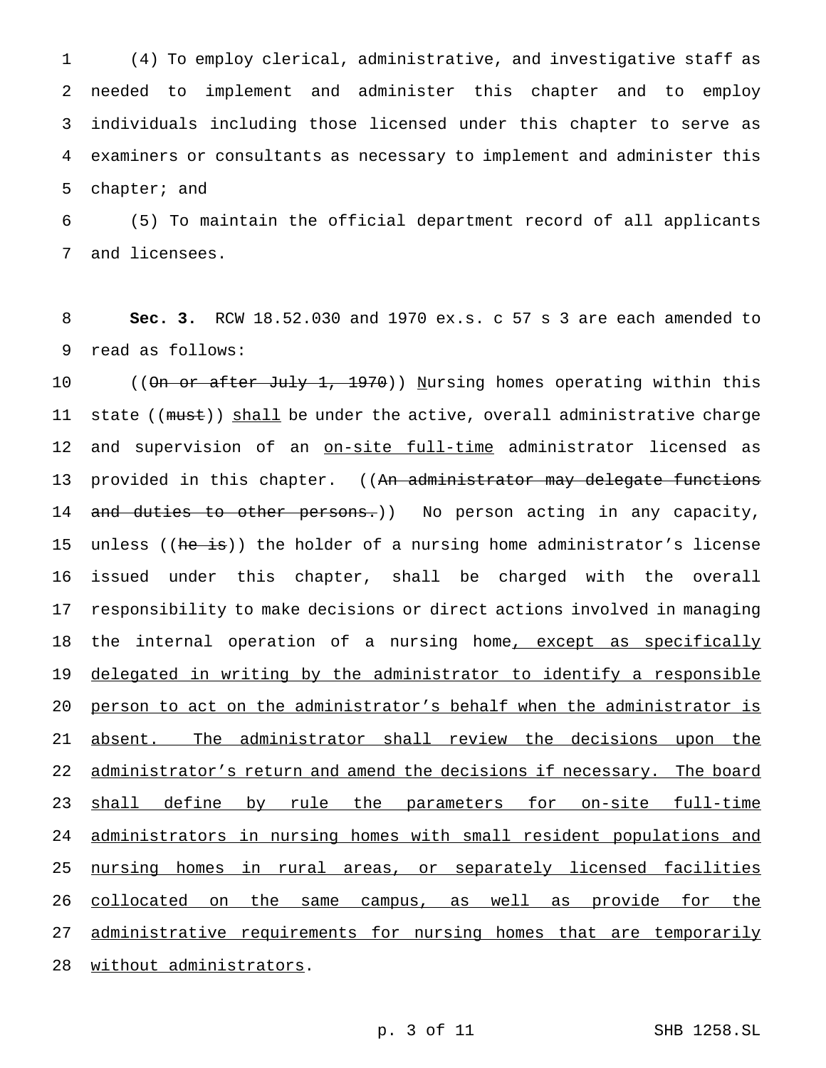(4) To employ clerical, administrative, and investigative staff as needed to implement and administer this chapter and to employ individuals including those licensed under this chapter to serve as examiners or consultants as necessary to implement and administer this chapter; and

6 (5) To maintain the official department record of all applicants 7 and licensees.

8 **Sec. 3.** RCW 18.52.030 and 1970 ex.s. c 57 s 3 are each amended to 9 read as follows:

10 ((<del>On or after July 1, 1970</del>)) Nursing homes operating within this 11 state ((must)) shall be under the active, overall administrative charge 12 and supervision of an on-site full-time administrator licensed as 13 provided in this chapter. ((An administrator may delegate functions 14 and duties to other persons.)) No person acting in any capacity, 15 unless ((he is)) the holder of a nursing home administrator's license 16 issued under this chapter, shall be charged with the overall 17 responsibility to make decisions or direct actions involved in managing 18 the internal operation of a nursing home, except as specifically 19 delegated in writing by the administrator to identify a responsible 20 person to act on the administrator's behalf when the administrator is 21 absent. The administrator shall review the decisions upon the 22 administrator's return and amend the decisions if necessary. The board 23 shall define by rule the parameters for on-site full-time 24 administrators in nursing homes with small resident populations and 25 nursing homes in rural areas, or separately licensed facilities 26 collocated on the same campus, as well as provide for the 27 administrative requirements for nursing homes that are temporarily 28 without administrators.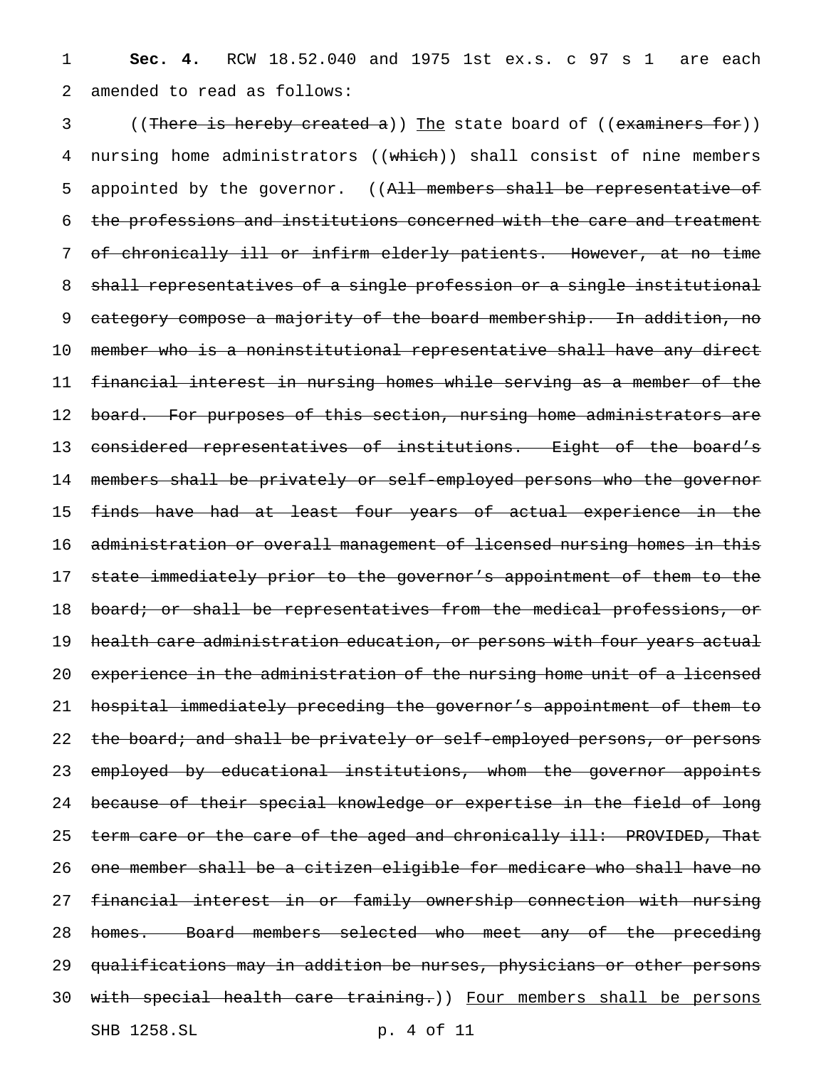1 **Sec. 4.** RCW 18.52.040 and 1975 1st ex.s. c 97 s 1 are each 2 amended to read as follows:

3 ((There is hereby created a)) The state board of ((examiners for)) 4 nursing home administrators ((which)) shall consist of nine members 5 appointed by the governor. ((All members shall be representative of 6 the professions and institutions concerned with the care and treatment 7 of chronically ill or infirm elderly patients. However, at no time 8 shall representatives of a single profession or a single institutional 9 category compose a majority of the board membership. In addition, no 10 member who is a noninstitutional representative shall have any direct 11 financial interest in nursing homes while serving as a member of the 12 board. For purposes of this section, nursing home administrators are 13 considered representatives of institutions. Eight of the board's 14 members shall be privately or self-employed persons who the governor 15 finds have had at least four years of actual experience in the 16 administration or overall management of licensed nursing homes in this 17 state immediately prior to the governor's appointment of them to the 18 board; or shall be representatives from the medical professions, or 19 health care administration education, or persons with four years actual 20 experience in the administration of the nursing home unit of a licensed 21 hospital immediately preceding the governor's appointment of them to 22 the board; and shall be privately or self-employed persons, or persons 23 employed by educational institutions, whom the governor appoints 24 because of their special knowledge or expertise in the field of long 25 term care or the care of the aged and chronically ill: PROVIDED, That 26 one member shall be a citizen eligible for medicare who shall have no 27 financial interest in or family ownership connection with nursing 28 homes. Board members selected who meet any of the preceding 29 qualifications may in addition be nurses, physicians or other persons 30 with special health care training.)) Four members shall be persons SHB 1258.SL p. 4 of 11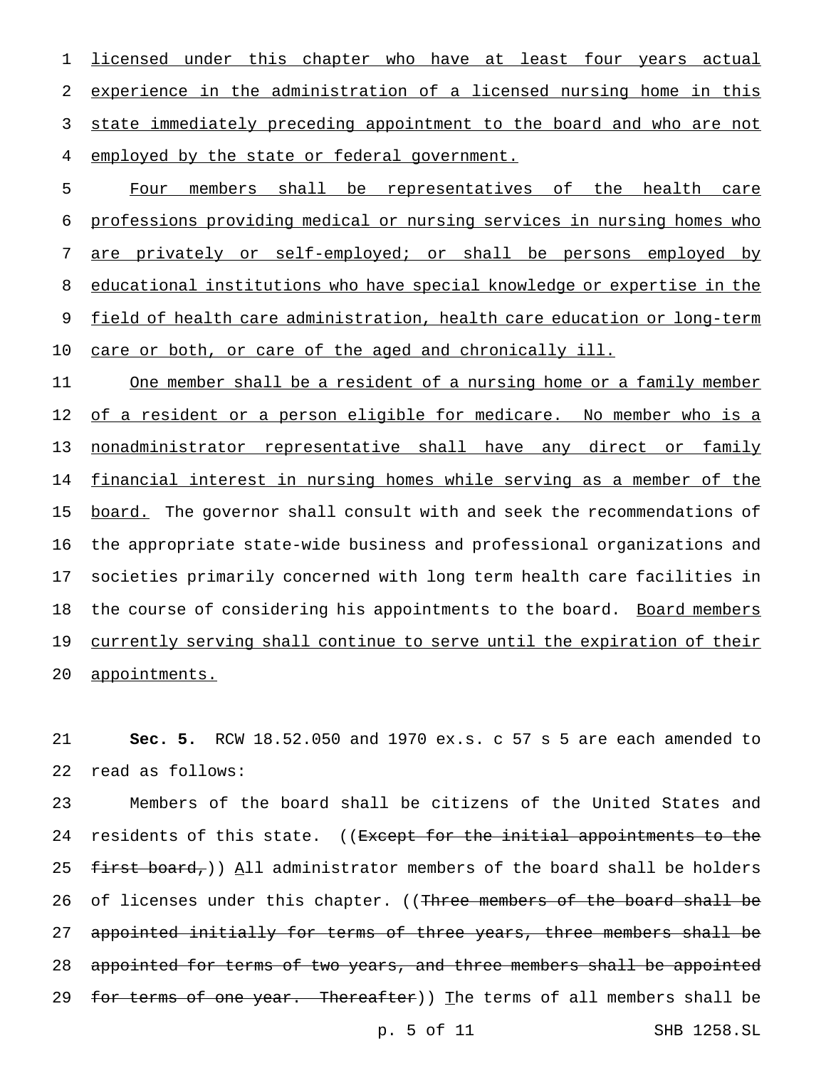licensed under this chapter who have at least four years actual experience in the administration of a licensed nursing home in this 3 state immediately preceding appointment to the board and who are not employed by the state or federal government.

 Four members shall be representatives of the health care professions providing medical or nursing services in nursing homes who are privately or self-employed; or shall be persons employed by educational institutions who have special knowledge or expertise in the 9 field of health care administration, health care education or long-term care or both, or care of the aged and chronically ill.

11 One member shall be a resident of a nursing home or a family member 12 of a resident or a person eligible for medicare. No member who is a 13 nonadministrator representative shall have any direct or family 14 financial interest in nursing homes while serving as a member of the 15 board. The governor shall consult with and seek the recommendations of 16 the appropriate state-wide business and professional organizations and 17 societies primarily concerned with long term health care facilities in 18 the course of considering his appointments to the board. Board members 19 currently serving shall continue to serve until the expiration of their 20 appointments.

21 **Sec. 5.** RCW 18.52.050 and 1970 ex.s. c 57 s 5 are each amended to 22 read as follows:

23 Members of the board shall be citizens of the United States and 24 residents of this state. ((<del>Except for the initial appointments to the</del> 25  $f$ irst board,)) All administrator members of the board shall be holders 26 of licenses under this chapter. ((<del>Three members of the board shall be</del> 27 appointed initially for terms of three years, three members shall be 28 appointed for terms of two years, and three members shall be appointed 29 for terms of one year. Thereafter)) The terms of all members shall be

p. 5 of 11 SHB 1258.SL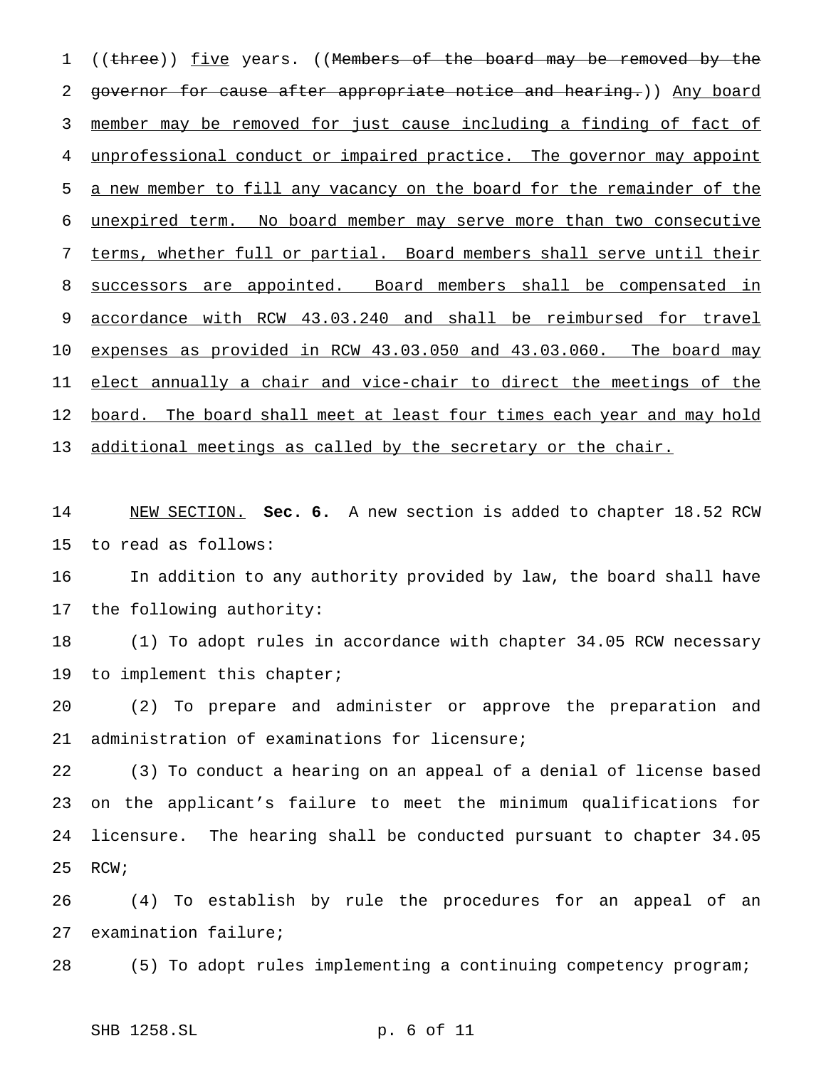1 ((three)) five years. ((Members of the board may be removed by the governor for cause after appropriate notice and hearing.)) Any board member may be removed for just cause including a finding of fact of unprofessional conduct or impaired practice. The governor may appoint a new member to fill any vacancy on the board for the remainder of the unexpired term. No board member may serve more than two consecutive terms, whether full or partial. Board members shall serve until their successors are appointed. Board members shall be compensated in accordance with RCW 43.03.240 and shall be reimbursed for travel expenses as provided in RCW 43.03.050 and 43.03.060. The board may elect annually a chair and vice-chair to direct the meetings of the 12 board. The board shall meet at least four times each year and may hold 13 additional meetings as called by the secretary or the chair.

 NEW SECTION. **Sec. 6.** A new section is added to chapter 18.52 RCW to read as follows:

 In addition to any authority provided by law, the board shall have the following authority:

 (1) To adopt rules in accordance with chapter 34.05 RCW necessary 19 to implement this chapter;

 (2) To prepare and administer or approve the preparation and administration of examinations for licensure;

 (3) To conduct a hearing on an appeal of a denial of license based on the applicant's failure to meet the minimum qualifications for licensure. The hearing shall be conducted pursuant to chapter 34.05 RCW;

 (4) To establish by rule the procedures for an appeal of an examination failure;

(5) To adopt rules implementing a continuing competency program;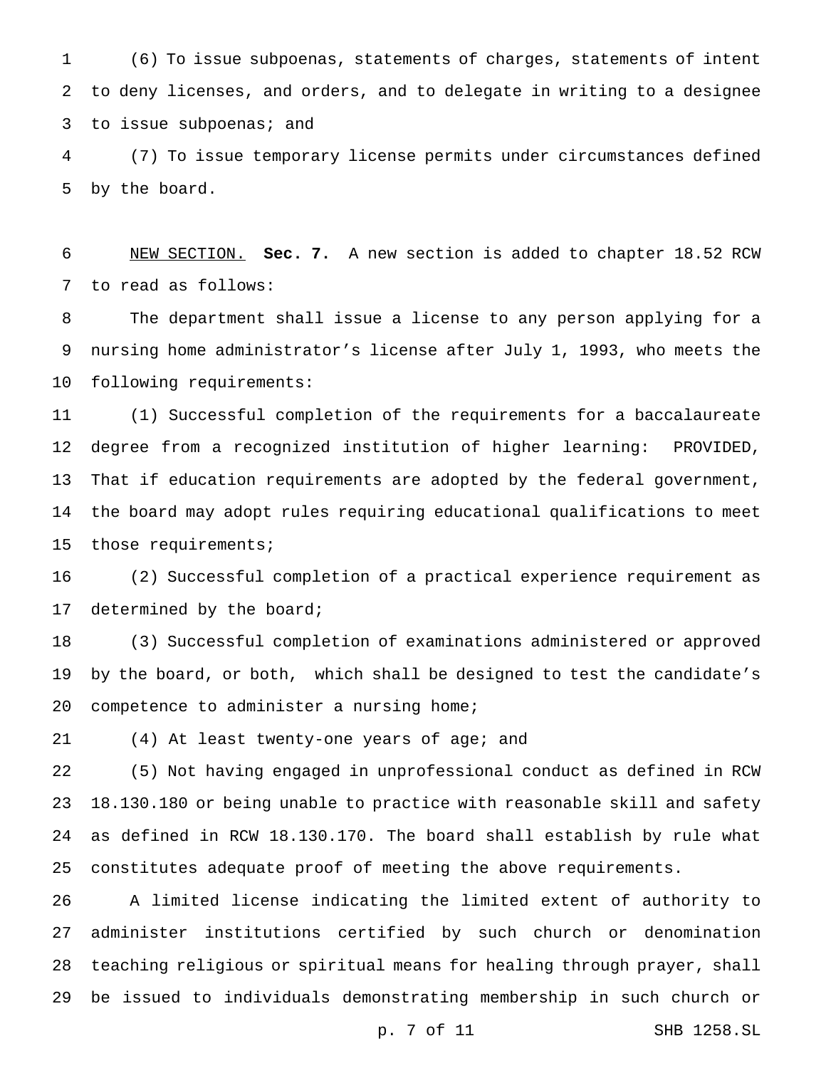(6) To issue subpoenas, statements of charges, statements of intent to deny licenses, and orders, and to delegate in writing to a designee 3 to issue subpoenas; and

 (7) To issue temporary license permits under circumstances defined by the board.

 NEW SECTION. **Sec. 7.** A new section is added to chapter 18.52 RCW to read as follows:

 The department shall issue a license to any person applying for a nursing home administrator's license after July 1, 1993, who meets the following requirements:

 (1) Successful completion of the requirements for a baccalaureate degree from a recognized institution of higher learning: PROVIDED, That if education requirements are adopted by the federal government, the board may adopt rules requiring educational qualifications to meet those requirements;

 (2) Successful completion of a practical experience requirement as 17 determined by the board;

 (3) Successful completion of examinations administered or approved by the board, or both, which shall be designed to test the candidate's competence to administer a nursing home;

(4) At least twenty-one years of age; and

 (5) Not having engaged in unprofessional conduct as defined in RCW 18.130.180 or being unable to practice with reasonable skill and safety as defined in RCW 18.130.170. The board shall establish by rule what constitutes adequate proof of meeting the above requirements.

 A limited license indicating the limited extent of authority to administer institutions certified by such church or denomination teaching religious or spiritual means for healing through prayer, shall be issued to individuals demonstrating membership in such church or

p. 7 of 11 SHB 1258.SL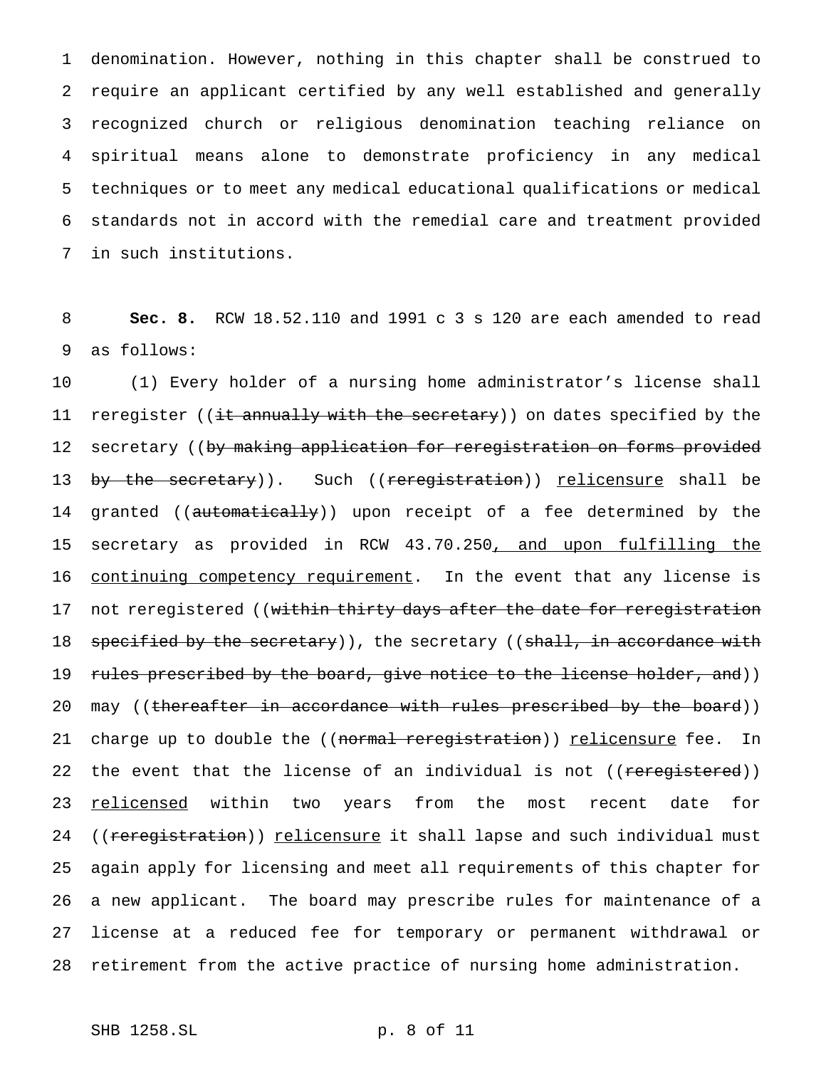denomination. However, nothing in this chapter shall be construed to require an applicant certified by any well established and generally recognized church or religious denomination teaching reliance on spiritual means alone to demonstrate proficiency in any medical techniques or to meet any medical educational qualifications or medical standards not in accord with the remedial care and treatment provided in such institutions.

8 **Sec. 8.** RCW 18.52.110 and 1991 c 3 s 120 are each amended to read 9 as follows:

10 (1) Every holder of a nursing home administrator's license shall 11 reregister ((<del>it annually with the secretary</del>)) on dates specified by the 12 secretary ((by making application for reregistration on forms provided 13 <del>by the secretary</del>)). Such ((<del>reregistration</del>)) <u>relicensure</u> shall be 14 granted ((automatically)) upon receipt of a fee determined by the 15 secretary as provided in RCW 43.70.250, and upon fulfilling the 16 continuing competency requirement. In the event that any license is 17 not reregistered ((within thirty days after the date for reregistration 18 specified by the secretary)), the secretary ((shall, in accordance with 19 rules prescribed by the board, give notice to the license holder, and)) 20 may ((thereafter in accordance with rules prescribed by the board)) 21 charge up to double the ((normal reregistration)) relicensure fee. In 22 the event that the license of an individual is not ((reregistered)) 23 <u>relicensed</u> within two years from the most recent date for 24 ((reregistration)) relicensure it shall lapse and such individual must 25 again apply for licensing and meet all requirements of this chapter for 26 a new applicant. The board may prescribe rules for maintenance of a 27 license at a reduced fee for temporary or permanent withdrawal or 28 retirement from the active practice of nursing home administration.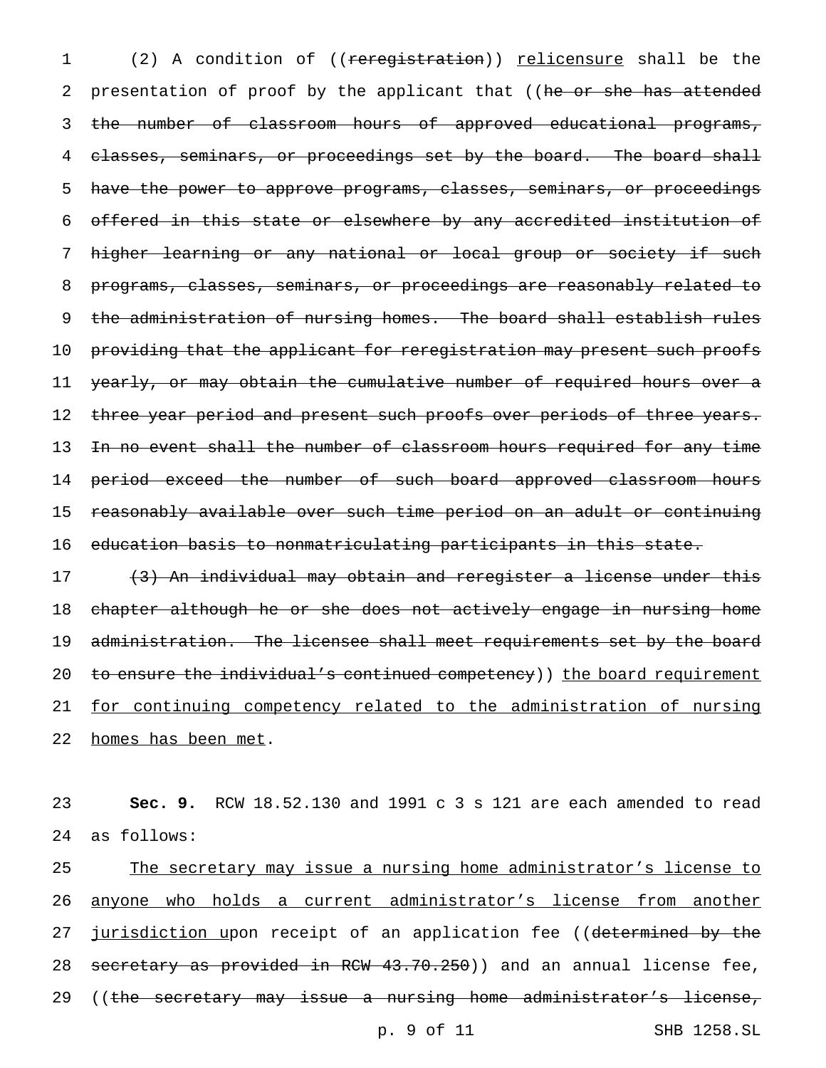1 (2) A condition of ((reregistration)) relicensure shall be the 2 presentation of proof by the applicant that ((he or she has attended 3 the number of classroom hours of approved educational programs, 4 classes, seminars, or proceedings set by the board. The board shall 5 have the power to approve programs, classes, seminars, or proceedings 6 offered in this state or elsewhere by any accredited institution of 7 higher learning or any national or local group or society if such 8 programs, classes, seminars, or proceedings are reasonably related to 9 the administration of nursing homes. The board shall establish rules 10 providing that the applicant for reregistration may present such proofs 11 yearly, or may obtain the cumulative number of required hours over a 12 three year period and present such proofs over periods of three years. 13 In no event shall the number of classroom hours required for any time 14 period exceed the number of such board approved classroom hours 15 reasonably available over such time period on an adult or continuing 16 education basis to nonmatriculating participants in this state.

17 (3) An individual may obtain and reregister a license under this 18 chapter although he or she does not actively engage in nursing home 19 administration. The licensee shall meet requirements set by the board 20 to ensure the individual's continued competency)) the board requirement 21 for continuing competency related to the administration of nursing 22 homes has been met.

23 **Sec. 9.** RCW 18.52.130 and 1991 c 3 s 121 are each amended to read 24 as follows:

25 The secretary may issue a nursing home administrator's license to 26 anyone who holds a current administrator's license from another 27 jurisdiction upon receipt of an application fee ((determined by the 28 secretary as provided in RCW 43.70.250)) and an annual license fee, 29 ((the secretary may issue a nursing home administrator's license,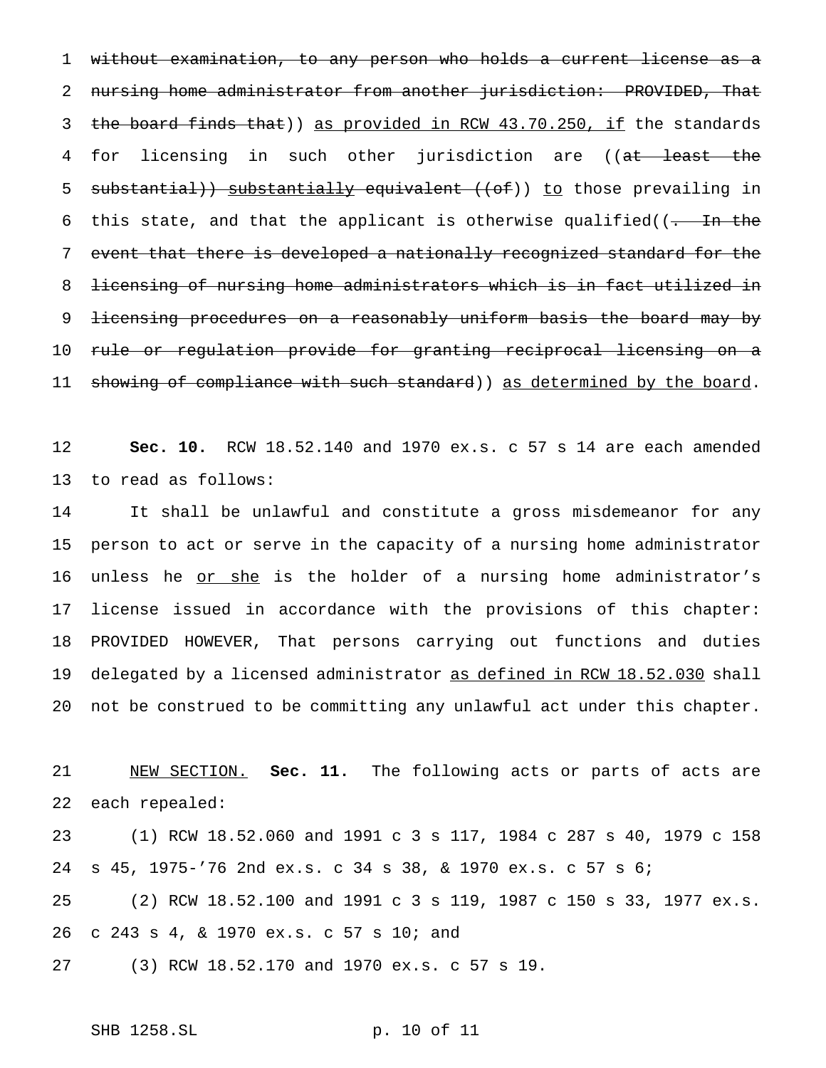without examination, to any person who holds a current license as a 2 nursing home administrator from another jurisdiction: PROVIDED, That 3 the board finds that)) as provided in RCW 43.70.250, if the standards 4 for licensing in such other jurisdiction are ((at least the 5 substantial)) substantially equivalent ((of)) to those prevailing in 6 this state, and that the applicant is otherwise qualified( $(-$  In the event that there is developed a nationally recognized standard for the licensing of nursing home administrators which is in fact utilized in 9 <del>licensing procedures on a reasonably uniform basis the board may by</del> 10 <del>rule or regulation provide for granting reciprocal licensing on a</del> 11 showing of compliance with such standard)) as determined by the board.

 **Sec. 10.** RCW 18.52.140 and 1970 ex.s. c 57 s 14 are each amended to read as follows:

 It shall be unlawful and constitute a gross misdemeanor for any person to act or serve in the capacity of a nursing home administrator 16 unless he or she is the holder of a nursing home administrator's license issued in accordance with the provisions of this chapter: PROVIDED HOWEVER, That persons carrying out functions and duties 19 delegated by a licensed administrator as defined in RCW 18.52.030 shall not be construed to be committing any unlawful act under this chapter.

 NEW SECTION. **Sec. 11.** The following acts or parts of acts are each repealed:

 (1) RCW 18.52.060 and 1991c3s 117, 1984 c 287 s 40, 1979 c 158 s 45, 1975-'76 2nd ex.s. c 34 s 38, & 1970 ex.s. c 57 s 6;

 (2) RCW 18.52.100 and 1991c3s 119, 1987 c 150 s 33, 1977 ex.s. c 243 s 4, & 1970 ex.s. c 57 s 10; and

(3) RCW 18.52.170 and 1970 ex.s. c 57 s 19.

```
SHB 1258.SL p. 10 of 11
```